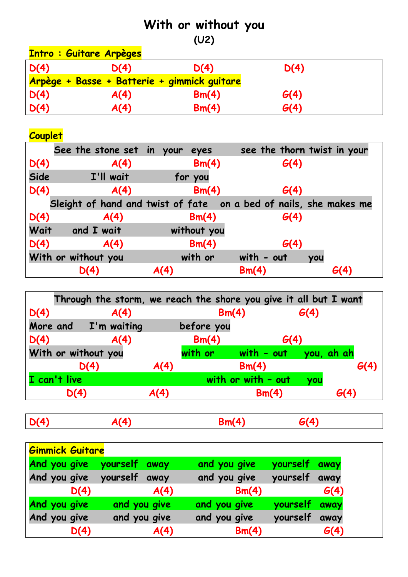## **With or without you (U2)**

|      | <b>Intro: Guitare Arpèges</b>               |       |      |  |
|------|---------------------------------------------|-------|------|--|
| D(4) | D(4)                                        | D(4)  | D(4) |  |
|      | Arpège + Basse + Batterie + gimmick guitare |       |      |  |
| D(4) | A(4)                                        | Bm(4) | G(4) |  |
| D(4) | A(4)                                        | Bm(4) | G(4) |  |

## **Couplet**

|      | See the stone set in your                                         |      | eyes        | see the thorn twist in your |      |      |
|------|-------------------------------------------------------------------|------|-------------|-----------------------------|------|------|
| D(4) | A(4)                                                              |      | Bm(4)       |                             | G(4) |      |
| Side | I'll wait                                                         |      | for you     |                             |      |      |
| D(4) | A(4)                                                              |      | Bm(4)       |                             | G(4) |      |
|      | Sleight of hand and twist of fate on a bed of nails, she makes me |      |             |                             |      |      |
| D(4) | A(4)                                                              |      | Bm(4)       |                             | G(4) |      |
| Wait | and I wait                                                        |      | without you |                             |      |      |
| D(4) | A(4)                                                              |      | Bm(4)       |                             | G(4) |      |
|      | With or without you                                               |      | with or     | with $-$ out                | you  |      |
|      | D(4)                                                              | A(4) |             | Bm(4)                       |      | G(4) |

|      |              |                      |      |            | Through the storm, we reach the shore you give it all but I want |      |            |
|------|--------------|----------------------|------|------------|------------------------------------------------------------------|------|------------|
| D(4) |              | A(4)                 |      |            | Bm(4)                                                            | G(4) |            |
|      |              | More and I'm waiting |      | before you |                                                                  |      |            |
| D(4) |              | A(4)                 |      | Bm(4)      |                                                                  | G(4) |            |
|      |              | With or without you  |      | with or    | with $-$ out                                                     |      | you, ah ah |
|      |              | D(4)                 | A(4) |            | Bm(4)                                                            |      | G(4)       |
|      | I can't live |                      |      |            | with or with $-$ out                                             | you  |            |
|      | D(4)         |                      | A(4) |            | Bm(4)                                                            |      | G(4)       |

|--|--|

|  | <b>Gimmick Guitare</b> |               |      |              |       |               |      |
|--|------------------------|---------------|------|--------------|-------|---------------|------|
|  | And you give           | yourself away |      | and you give |       | yourself away |      |
|  | And you give           | yourself away |      | and you give |       | yourself away |      |
|  | D(4)                   |               | A(4) |              | Bm(4) |               | G(4) |
|  | And you give           | and you give  |      | and you give |       | yourself away |      |
|  | And you give           | and you give  |      | and you give |       | yourself away |      |
|  | D(4)                   |               | A(4) |              | Bm(4) |               | G(4) |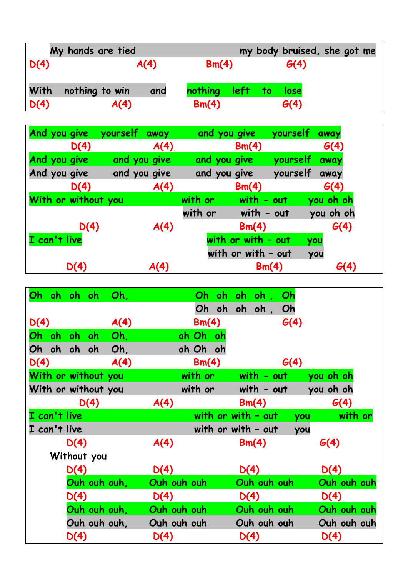|      | My hands are tied |      |                 |  | my body bruised, she got me |  |
|------|-------------------|------|-----------------|--|-----------------------------|--|
| D(4) |                   | A(4) | Bm(4)           |  | G(4)                        |  |
|      |                   |      |                 |  |                             |  |
| With | nothing to win    | and  | nothing left to |  | lose                        |  |
| D(4) | A(4)              |      | Bm(4)           |  | G(4)                        |  |

| And you give        |      | yourself away | and you give |                    | yourself | away      |
|---------------------|------|---------------|--------------|--------------------|----------|-----------|
|                     | D(4) | A(4)          |              | Bm(4)              |          | G(4)      |
| And you give        |      | and you give  | and you give |                    | yourself | away      |
| And you give        |      | and you give  | and you give |                    | yourself | away      |
|                     | D(4) | A(4)          |              | Bm(4)              |          | G(4)      |
| With or without you |      |               | with or      | with - out         |          | you oh oh |
|                     |      |               | with or      | with $-$ out       |          | you oh oh |
|                     | D(4) | A(4)          |              | Bm(4)              |          | G(4)      |
| I can't live        |      |               |              | with or with - out |          | you       |
|                     |      |               |              | with or with - out |          | you       |
| D(4)                |      | A(4)          |              | Bm(4)              |          | G(4)      |

| Oh oh oh oh<br>Oh,  | Oh -<br>oh l | Oh<br>oh l<br>$oh$ ,        |             |
|---------------------|--------------|-----------------------------|-------------|
|                     |              | Oh oh oh oh ,<br>Oh         |             |
| D(4)<br>A(4)        | Bm(4)        | G(4)                        |             |
| Oh oh oh oh<br>Oh,  | oh Oh oh     |                             |             |
| Oh,<br>Oh oh oh oh  | oh Oh oh     |                             |             |
| D(4)<br>A(4)        | Bm(4)        | G(4)                        |             |
| With or without you | with or      | with $-$ out                | you oh oh   |
| With or without you | with or      | with $-$ out                | you oh oh   |
| D(4)                | A(4)         | Bm(4)                       | G(4)        |
| I can't live        |              | with or with $-$ out<br>you | with or     |
| I can't live        |              | with or with $-$ out<br>you |             |
| D(4)                | A(4)         | Bm(4)                       | G(4)        |
| Without you         |              |                             |             |
| D(4)                | D(4)         | D(4)                        | D(4)        |
| Ouh ouh ouh,        | Ouh ouh ouh  | Ouh ouh ouh                 | Ouh ouh ouh |
| D(4)                | D(4)         | D(4)                        | D(4)        |
| Ouh ouh ouh,        | Ouh ouh ouh  | Ouh ouh ouh                 | Ouh ouh ouh |
| Ouh ouh ouh,        | Ouh ouh ouh  | Ouh ouh ouh                 | Ouh ouh ouh |
| D(4)                | D(4)         | D(4)                        | D(4)        |